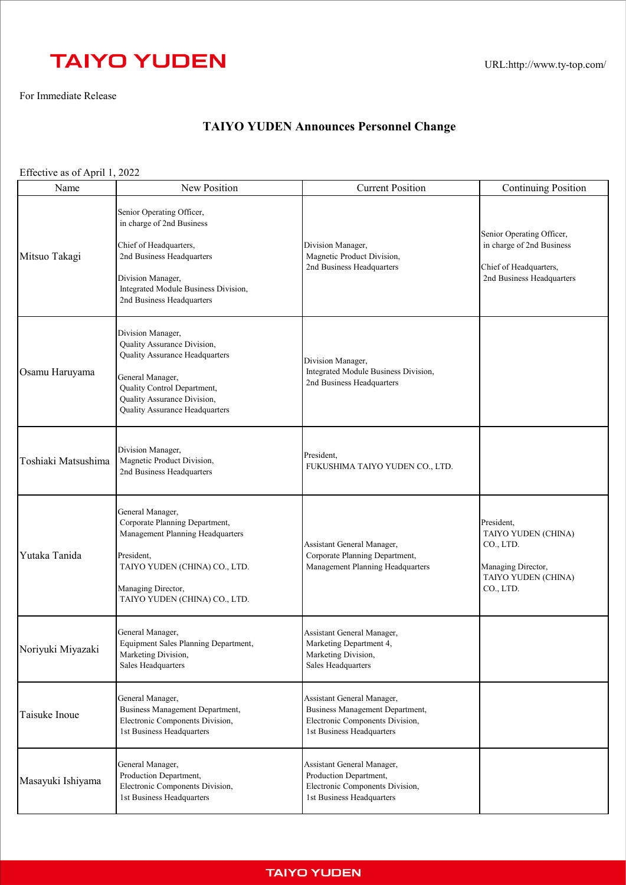## **TAIYO YUDEN**

For Immediate Release

## **TAIYO YUDEN Announces Personnel Change**

Effective as of April 1, 2022

| Name                | New Position                                                                                                                                                                                                  | <b>Current Position</b>                                                                                                       | <b>Continuing Position</b>                                                                                    |
|---------------------|---------------------------------------------------------------------------------------------------------------------------------------------------------------------------------------------------------------|-------------------------------------------------------------------------------------------------------------------------------|---------------------------------------------------------------------------------------------------------------|
| Mitsuo Takagi       | Senior Operating Officer,<br>in charge of 2nd Business<br>Chief of Headquarters,<br>2nd Business Headquarters<br>Division Manager,<br>Integrated Module Business Division,<br>2nd Business Headquarters       | Division Manager,<br>Magnetic Product Division,<br>2nd Business Headquarters                                                  | Senior Operating Officer,<br>in charge of 2nd Business<br>Chief of Headquarters,<br>2nd Business Headquarters |
| Osamu Haruyama      | Division Manager,<br>Quality Assurance Division,<br>Quality Assurance Headquarters<br>General Manager,<br>Quality Control Department,<br>Quality Assurance Division,<br><b>Quality Assurance Headquarters</b> | Division Manager,<br>Integrated Module Business Division,<br>2nd Business Headquarters                                        |                                                                                                               |
| Toshiaki Matsushima | Division Manager,<br>Magnetic Product Division,<br>2nd Business Headquarters                                                                                                                                  | President,<br>FUKUSHIMA TAIYO YUDEN CO., LTD.                                                                                 |                                                                                                               |
| Yutaka Tanida       | General Manager,<br>Corporate Planning Department,<br>Management Planning Headquarters<br>President,<br>TAIYO YUDEN (CHINA) CO., LTD.<br>Managing Director,<br>TAIYO YUDEN (CHINA) CO., LTD.                  | Assistant General Manager,<br>Corporate Planning Department,<br>Management Planning Headquarters                              | President,<br>TAIYO YUDEN (CHINA)<br>CO., LTD.<br>Managing Director,<br>TAIYO YUDEN (CHINA)<br>CO., LTD.      |
| Noriyuki Miyazaki   | General Manager,<br>Equipment Sales Planning Department,<br>Marketing Division,<br>Sales Headquarters                                                                                                         | Assistant General Manager,<br>Marketing Department 4,<br>Marketing Division,<br>Sales Headquarters                            |                                                                                                               |
| Taisuke Inoue       | General Manager,<br><b>Business Management Department,</b><br>Electronic Components Division,<br>1st Business Headquarters                                                                                    | Assistant General Manager,<br>Business Management Department,<br>Electronic Components Division,<br>1st Business Headquarters |                                                                                                               |
| Masayuki Ishiyama   | General Manager,<br>Production Department,<br>Electronic Components Division,<br>1st Business Headquarters                                                                                                    | Assistant General Manager,<br>Production Department,<br>Electronic Components Division,<br>1st Business Headquarters          |                                                                                                               |